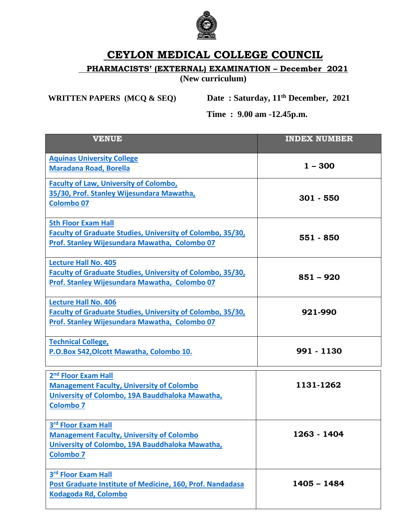

## **CEYLON MEDICAL COLLEGE COUNCIL**

 **PHARMACISTS' (EXTERNAL) EXAMINATION – December 2021**

**(New curriculum)**

**WRITTEN PAPERS (MCQ & SEQ) Date : Saturday, 11**

Date: Saturday,  $11<sup>th</sup>$  December, 2021

 **Time : 9.00 am -12.45p.m.**

| <b>VENUE</b>                                                                                                                                               | <b>INDEX NUMBER</b> |
|------------------------------------------------------------------------------------------------------------------------------------------------------------|---------------------|
| <b>Aquinas University College</b><br><b>Maradana Road, Borella</b>                                                                                         | $1 - 300$           |
| <b>Faculty of Law, University of Colombo,</b><br>35/30, Prof. Stanley Wijesundara Mawatha,<br><b>Colombo 07</b>                                            | $301 - 550$         |
| <b>5th Floor Exam Hall</b><br>Faculty of Graduate Studies, University of Colombo, 35/30,<br>Prof. Stanley Wijesundara Mawatha, Colombo 07                  | 551 - 850           |
| <b>Lecture Hall No. 405</b><br><b>Faculty of Graduate Studies, University of Colombo, 35/30,</b><br>Prof. Stanley Wijesundara Mawatha, Colombo 07          | $851 - 920$         |
| <b>Lecture Hall No. 406</b><br><b>Faculty of Graduate Studies, University of Colombo, 35/30,</b><br>Prof. Stanley Wijesundara Mawatha, Colombo 07          | 921-990             |
| <b>Technical College,</b><br>P.O.Box 542, Olcott Mawatha, Colombo 10.                                                                                      | 991 - 1130          |
| 2 <sup>nd</sup> Floor Exam Hall<br><b>Management Faculty, University of Colombo</b><br>University of Colombo, 19A Bauddhaloka Mawatha,<br><b>Colombo 7</b> | 1131-1262           |
| 3rd Floor Exam Hall<br><b>Management Faculty, University of Colombo</b><br>University of Colombo, 19A Bauddhaloka Mawatha,<br><b>Colombo 7</b>             | 1263 - 1404         |
| 3rd Floor Exam Hall<br>Post Graduate Institute of Medicine, 160, Prof. Nandadasa<br>Kodagoda Rd, Colombo                                                   | 1405 - 1484         |